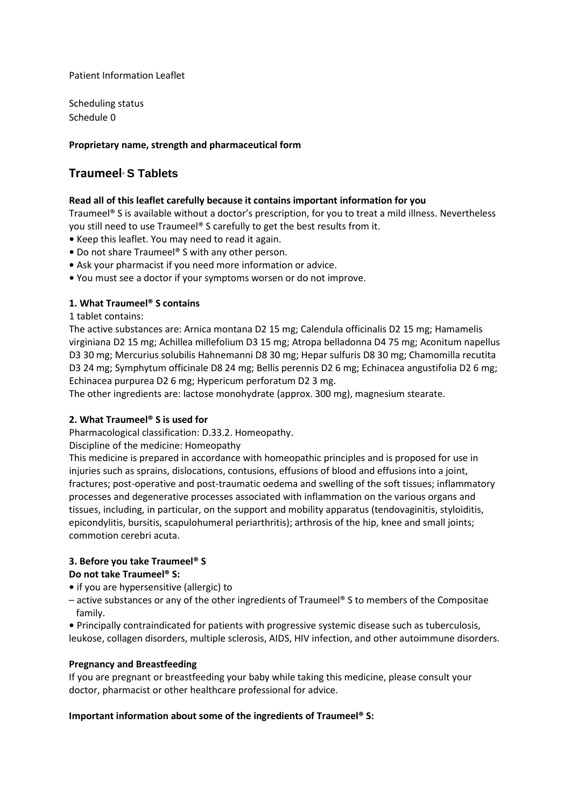Patient Information Leaflet

Scheduling status Schedule 0

## **Proprietary name, strength and pharmaceutical form**

# **Traumeel**® **S Tablets**

## **Read all of this leaflet carefully because it contains important information for you**

Traumeel® S is available without a doctor's prescription, for you to treat a mild illness. Nevertheless you still need to use Traumeel® S carefully to get the best results from it.

- Keep this leaflet. You may need to read it again.
- Do not share Traumeel® S with any other person.
- Ask your pharmacist if you need more information or advice.
- You must see a doctor if your symptoms worsen or do not improve.

## **1. What Traumeel® S contains**

1 tablet contains:

The active substances are: Arnica montana D2 15 mg; Calendula officinalis D2 15 mg; Hamamelis virginiana D2 15 mg; Achillea millefolium D3 15 mg; Atropa belladonna D4 75 mg; Aconitum napellus D3 30 mg; Mercurius solubilis Hahnemanni D8 30 mg; Hepar sulfuris D8 30 mg; Chamomilla recutita D3 24 mg; Symphytum officinale D8 24 mg; Bellis perennis D2 6 mg; Echinacea angustifolia D2 6 mg; Echinacea purpurea D2 6 mg; Hypericum perforatum D2 3 mg.

The other ingredients are: lactose monohydrate (approx. 300 mg), magnesium stearate.

## **2. What Traumeel® S is used for**

Pharmacological classification: D.33.2. Homeopathy.

Discipline of the medicine: Homeopathy

This medicine is prepared in accordance with homeopathic principles and is proposed for use in injuries such as sprains, dislocations, contusions, effusions of blood and effusions into a joint, fractures; post-operative and post-traumatic oedema and swelling of the soft tissues; inflammatory processes and degenerative processes associated with inflammation on the various organs and tissues, including, in particular, on the support and mobility apparatus (tendovaginitis, styloiditis, epicondylitis, bursitis, scapulohumeral periarthritis); arthrosis of the hip, knee and small joints; commotion cerebri acuta.

# **3. Before you take Traumeel® S**

# **Do not take Traumeel® S:**

- if you are hypersensitive (allergic) to
- active substances or any of the other ingredients of Traumeel® S to members of the Compositae family.

**•** Principally contraindicated for patients with progressive systemic disease such as tuberculosis, leukose, collagen disorders, multiple sclerosis, AIDS, HIV infection, and other autoimmune disorders.

## **Pregnancy and Breastfeeding**

If you are pregnant or breastfeeding your baby while taking this medicine, please consult your doctor, pharmacist or other healthcare professional for advice.

## **Important information about some of the ingredients of Traumeel® S:**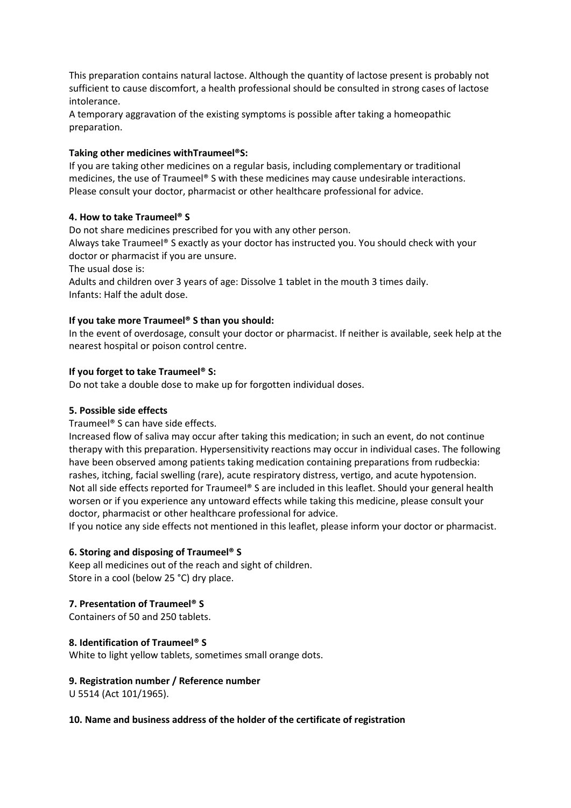This preparation contains natural lactose. Although the quantity of lactose present is probably not sufficient to cause discomfort, a health professional should be consulted in strong cases of lactose intolerance.

A temporary aggravation of the existing symptoms is possible after taking a homeopathic preparation.

## **Taking other medicines withTraumeel®S:**

If you are taking other medicines on a regular basis, including complementary or traditional medicines, the use of Traumeel® S with these medicines may cause undesirable interactions. Please consult your doctor, pharmacist or other healthcare professional for advice.

## **4. How to take Traumeel® S**

Do not share medicines prescribed for you with any other person.

Always take Traumeel® S exactly as your doctor has instructed you. You should check with your doctor or pharmacist if you are unsure.

The usual dose is:

Adults and children over 3 years of age: Dissolve 1 tablet in the mouth 3 times daily. Infants: Half the adult dose.

## **If you take more Traumeel® S than you should:**

In the event of overdosage, consult your doctor or pharmacist. If neither is available, seek help at the nearest hospital or poison control centre.

## **If you forget to take Traumeel® S:**

Do not take a double dose to make up for forgotten individual doses.

## **5. Possible side effects**

Traumeel® S can have side effects.

Increased flow of saliva may occur after taking this medication; in such an event, do not continue therapy with this preparation. Hypersensitivity reactions may occur in individual cases. The following have been observed among patients taking medication containing preparations from rudbeckia: rashes, itching, facial swelling (rare), acute respiratory distress, vertigo, and acute hypotension. Not all side effects reported for Traumeel® S are included in this leaflet. Should your general health worsen or if you experience any untoward effects while taking this medicine, please consult your doctor, pharmacist or other healthcare professional for advice.

If you notice any side effects not mentioned in this leaflet, please inform your doctor or pharmacist.

## **6. Storing and disposing of Traumeel® S**

Keep all medicines out of the reach and sight of children. Store in a cool (below 25 °C) dry place.

## **7. Presentation of Traumeel® S**

Containers of 50 and 250 tablets.

## **8. Identification of Traumeel® S**

White to light yellow tablets, sometimes small orange dots.

## **9. Registration number / Reference number**

U 5514 (Act 101/1965).

## **10. Name and business address of the holder of the certificate of registration**